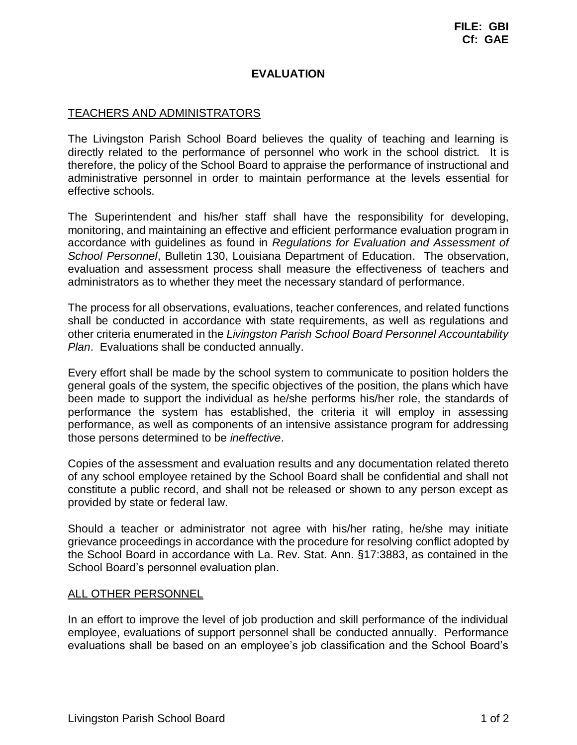## **EVALUATION**

## TEACHERS AND ADMINISTRATORS

The Livingston Parish School Board believes the quality of teaching and learning is directly related to the performance of personnel who work in the school district. It is therefore, the policy of the School Board to appraise the performance of instructional and administrative personnel in order to maintain performance at the levels essential for effective schools.

The Superintendent and his/her staff shall have the responsibility for developing, monitoring, and maintaining an effective and efficient performance evaluation program in accordance with guidelines as found in *Regulations for Evaluation and Assessment of School Personnel*, Bulletin 130, Louisiana Department of Education. The observation, evaluation and assessment process shall measure the effectiveness of teachers and administrators as to whether they meet the necessary standard of performance.

The process for all observations, evaluations, teacher conferences, and related functions shall be conducted in accordance with state requirements, as well as regulations and other criteria enumerated in the *Livingston Parish School Board Personnel Accountability Plan*. Evaluations shall be conducted annually.

Every effort shall be made by the school system to communicate to position holders the general goals of the system, the specific objectives of the position, the plans which have been made to support the individual as he/she performs his/her role, the standards of performance the system has established, the criteria it will employ in assessing performance, as well as components of an intensive assistance program for addressing those persons determined to be *ineffective*.

Copies of the assessment and evaluation results and any documentation related thereto of any school employee retained by the School Board shall be confidential and shall not constitute a public record, and shall not be released or shown to any person except as provided by state or federal law.

Should a teacher or administrator not agree with his/her rating, he/she may initiate grievance proceedings in accordance with the procedure for resolving conflict adopted by the School Board in accordance with La. Rev. Stat. Ann. §17:3883, as contained in the School Board's personnel evaluation plan.

## ALL OTHER PERSONNEL

In an effort to improve the level of job production and skill performance of the individual employee, evaluations of support personnel shall be conducted annually. Performance evaluations shall be based on an employee's job classification and the School Board's